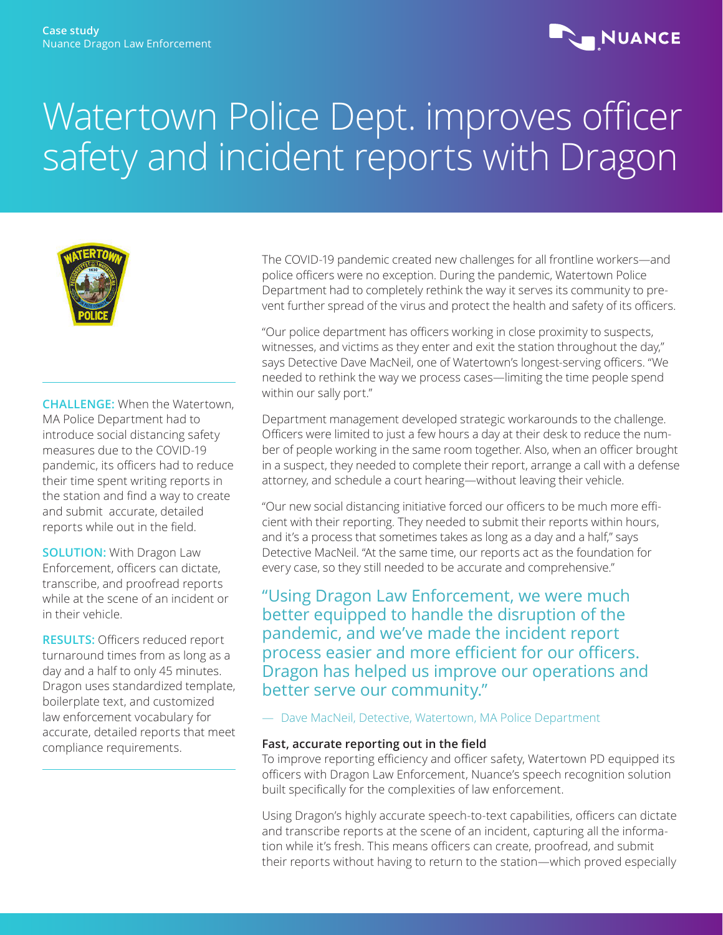

# Watertown Police Dept. improves officer safety and incident reports with Dragon



**CHALLENGE:** When the Watertown, MA Police Department had to introduce social distancing safety measures due to the COVID-19 pandemic, its officers had to reduce their time spent writing reports in the station and find a way to create and submit accurate, detailed reports while out in the field.

**SOLUTION:** With Dragon Law Enforcement, officers can dictate, transcribe, and proofread reports while at the scene of an incident or in their vehicle.

**RESULTS:** Officers reduced report turnaround times from as long as a day and a half to only 45 minutes. Dragon uses standardized template, boilerplate text, and customized law enforcement vocabulary for accurate, detailed reports that meet compliance requirements.

The COVID-19 pandemic created new challenges for all frontline workers—and police officers were no exception. During the pandemic, Watertown Police Department had to completely rethink the way it serves its community to prevent further spread of the virus and protect the health and safety of its officers.

"Our police department has officers working in close proximity to suspects, witnesses, and victims as they enter and exit the station throughout the day," says Detective Dave MacNeil, one of Watertown's longest-serving officers. "We needed to rethink the way we process cases—limiting the time people spend within our sally port."

Department management developed strategic workarounds to the challenge. Officers were limited to just a few hours a day at their desk to reduce the number of people working in the same room together. Also, when an officer brought in a suspect, they needed to complete their report, arrange a call with a defense attorney, and schedule a court hearing—without leaving their vehicle.

"Our new social distancing initiative forced our officers to be much more efficient with their reporting. They needed to submit their reports within hours, and it's a process that sometimes takes as long as a day and a half," says Detective MacNeil. "At the same time, our reports act as the foundation for every case, so they still needed to be accurate and comprehensive."

"Using Dragon Law Enforcement, we were much better equipped to handle the disruption of the pandemic, and we've made the incident report process easier and more efficient for our officers. Dragon has helped us improve our operations and better serve our community."

— Dave MacNeil, Detective, Watertown, MA Police Department

### **Fast, accurate reporting out in the field**

To improve reporting efficiency and officer safety, Watertown PD equipped its officers with Dragon Law Enforcement, Nuance's speech recognition solution built specifically for the complexities of law enforcement.

Using Dragon's highly accurate speech-to-text capabilities, officers can dictate and transcribe reports at the scene of an incident, capturing all the information while it's fresh. This means officers can create, proofread, and submit their reports without having to return to the station—which proved especially